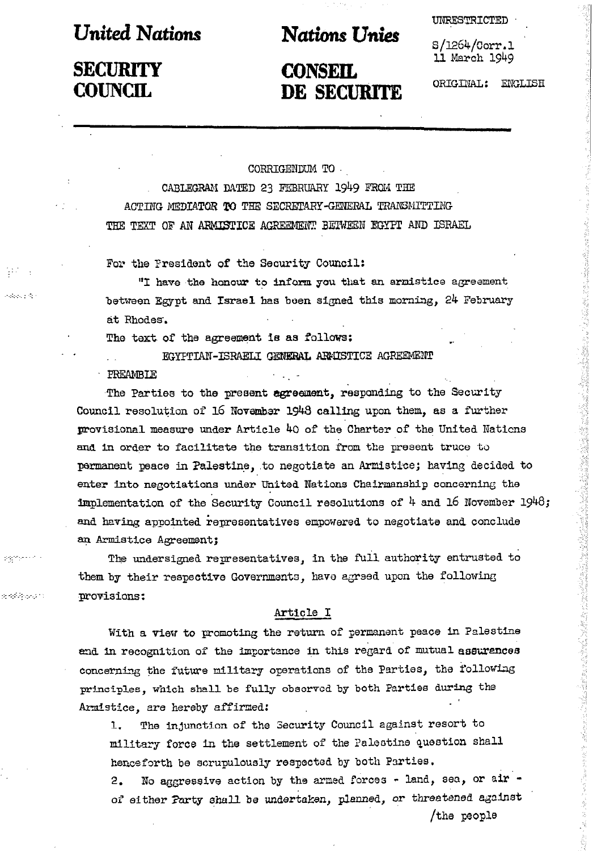## **United Nations**

## **Nations Unies**

UNRESTRICTED

S/1264/Corr.1 11 March 1949

## **SECURITY COUNCIL**

# **CONSEIL** DE SECURITE

ORIGINAL: ENGLISH

#### CORRIGENDUM TO

CABLEGRAM DATED 23 FEBRUARY 1949 FROM THE ACTING MEDIATOR TO THE SECRETARY-GENERAL TRANSMITTING THE TEXT OF AN ARMISTICE ACREEMENT BETWEEN EGYPT AND ISRAEL

For the President of the Security Council:

"I have the honour to inform you that an armistice agreement between Egypt and Israel has been signed this morning, 24 February at Rhodes.

The text of the agreement is as follows:

EGYPTIAN-ISRAELI GENERAL ARMISTICE AGREEMENT

PREAMBIE

rakan pro

egnerin i

a stipovin

The Parties to the present agreement, responding to the Security Council resolution of 16 November 1948 calling upon them, as a further provisional measure under Article 40 of the Charter of the United Nations and in order to facilitate the transition from the present truce to permanent peace in Palestine, to negotiate an Armistice; having decided to enter into negotiations under United Nations Chairmanship concerning the implementation of the Security Council resolutions of 4 and 16 November  $1948$ ; and having appointed representatives empowered to negotiate and conclude an Armistice Agreement;

The undersigned representatives, in the full authority entrusted to them by their respective Governments, have agreed upon the following provisions:

#### Article I

With a view to promoting the return of permanent peace in Palestine and in recognition of the importance in this regard of mutual assurances concerning the future military operations of the Parties, the following principles, which shall be fully observed by both Parties during the Armistice, are hereby affirmed:

The injunction of the Security Council against resort to  $\mathbf{1}$ . military force in the settlement of the Palestine question shall henceforth be scrupulously respected by both Parties.

No aggressive action by the armed forces - land, sea, or air - $2.1$ of either Party shall be undertaken, planned, or threatened against the people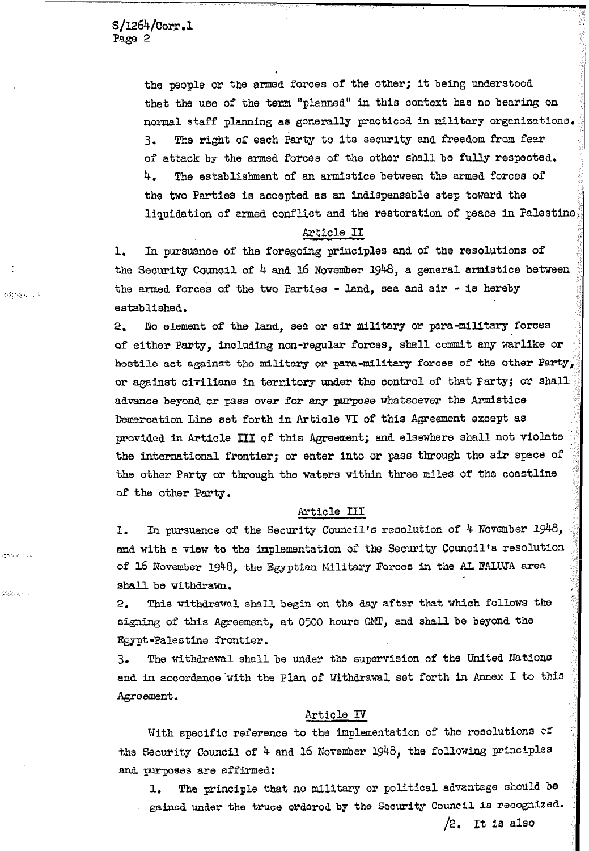> the people or the armed forces of the other; it being understood that the use of the term "planned" in this context has no bearing on normal staff planning as generally practiced in military organizations. The right of each Party to its security and freedom from fear  $3.$ of attack by the armed forces of the other shall be fully respected. 4. The establishment of an armistice between the armed forces of the two Parties is accepted as an indispensable step toward the liquidation of armed conflict and the restoration of peace in Palestine;

#### Article II

In pursuance of the foregoing principles and of the resolutions of ı. the Security Council of 4 and 16 November 1948, a general armistice between the armed forces of the two Parties - land, sea and air - is hereby established.

No element of the land. sea or air military or para-military forces  $2.$ of either Party, including non-regular forces, shall commit any warlike or hostile act against the military or para-military forces of the other Party, or against civilians in territory under the control of that Party; or shall advance beyond or pass over for any purpose whatsoever the Armistice Demarcation Line set forth in Article VI of this Agreement except as provided in Article III of this Agreement; and elsewhere shall not violate the international frontier; or enter into or pass through the air space of the other Party or through the waters within three miles of the coastline of the other Party.

### Article III

In pursuance of the Security Council's resolution of 4 November  $1948$ , l. and with a view to the implementation of the Security Council's resolution of 16 November 1948, the Egyptian Military Forces in the AL FALUJA area shall be withdrawn.

 $2.1$ This withdrawal shall begin on the day after that which follows the signing of this Agreement, at 0500 hours GMT, and shall be beyond the Egypt-Palestine frontier.

The withdrawal shall be under the supervision of the United Nations  $3.$ and in accordance with the Plan of Withdrawal set forth in Annex I to this Agroement.

### Article IV

With specific reference to the implementation of the resolutions of the Security Council of 4 and 16 November 1948, the following principles and purposes are affirmed:

The principle that no military or political advantage should be  $\mathbf{1}_{\bullet}$ gained under the truce ordered by the Security Council is recognized.

 $/2$ . It is also

 $600\log\alpha\approx 3$ 

والمالين ووما

را لايونوپونو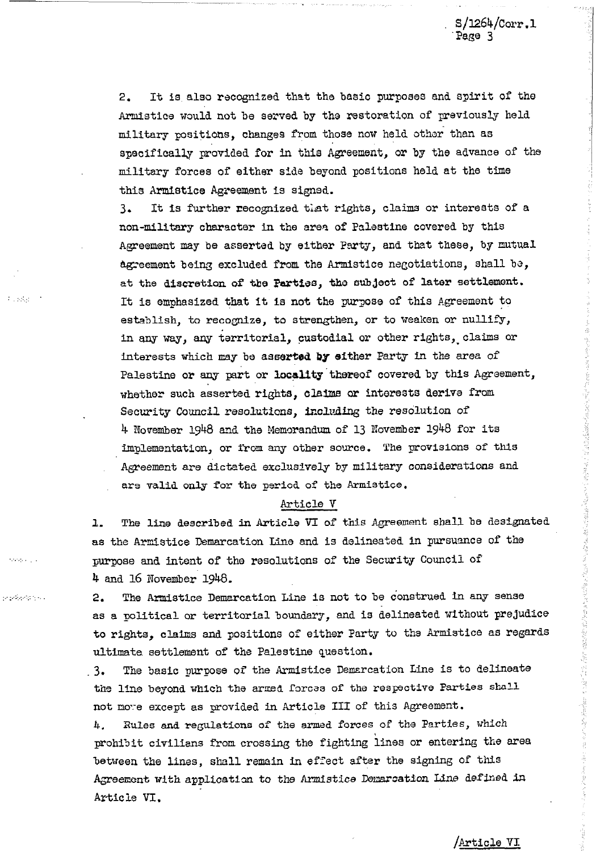It is also recognized that the basic purposes and spirit of the  $2.1$ Armistice would not be served by the restoration of previously held military positions, changes from those now held other than as specifically provided for in this Agreement, or by the advance of the military forces of either side beyond positions held at the time this Armistice Agreement is signed.

It is further recognized that rights, claims or interests of a  $3<sub>1</sub>$ non-military character in the area of Palestine covered by this Agreement may be asserted by either Party, and that these, by mutual agreement being excluded from the Armistice negotiations, shall be, at the discretion of the Parties, the subject of later settlement. It is emphasized that it is not the purpose of this Agreement to establish, to recognize, to strengthen, or to weaken or nullify, in any way, any territorial, custodial or other rights, claims or interests which may be asserted by either Party in the area of Palestine or any part or locality thereof covered by this Agreement, whether such asserted rights, claims or interests derive from Security Council resolutions, including the resolution of 4 November 1948 and the Memorandum of 13 November 1948 for its implementation, or from any other source. The provisions of this Agreement are dictated exclusively by military considerations and are valid only for the period of the Armistice.

#### Article V

The line described in Article VI of this Agreement shall be designated  $\mathbf{L}$ as the Armistice Demarcation Line and is delineated in pursuance of the purpose and intent of the resolutions of the Security Council of 4 and 16 November 1948.

The Armistice Demarcation Line is not to be construed in any sense  $2.$ as a political or territorial boundary, and is delineated without prejudice to rights, claims and positions of either Party to the Armistice as regards ultimate settlement of the Palestine question.

The basic purpose of the Armistice Demarcation Line is to delineate  $3.3$ the line beyond which the armed forces of the respective Parties shall not more except as provided in Article III of this Agreement.

Rules and regulations of the armed forces of the Parties, which 4. prohibit civilians from crossing the fighting lines or entering the area between the lines, shall remain in effect after the signing of this Agreement with application to the Armistice Demarcation Line defined in Article VI.

والمستناة والمتعاطي والمتعاد

r i sko

Article VI

医马克里斯 医阿拉伯氏试验检尿道试验检尿道 医皮膜炎 医皮膜炎 医前缀 医前缀 医前缀 医前缀 医前缀 医阿拉伯氏病 医白细胞 医假皮膜炎 医前列腺 计数据 医中间的 医前列腺 医前列腺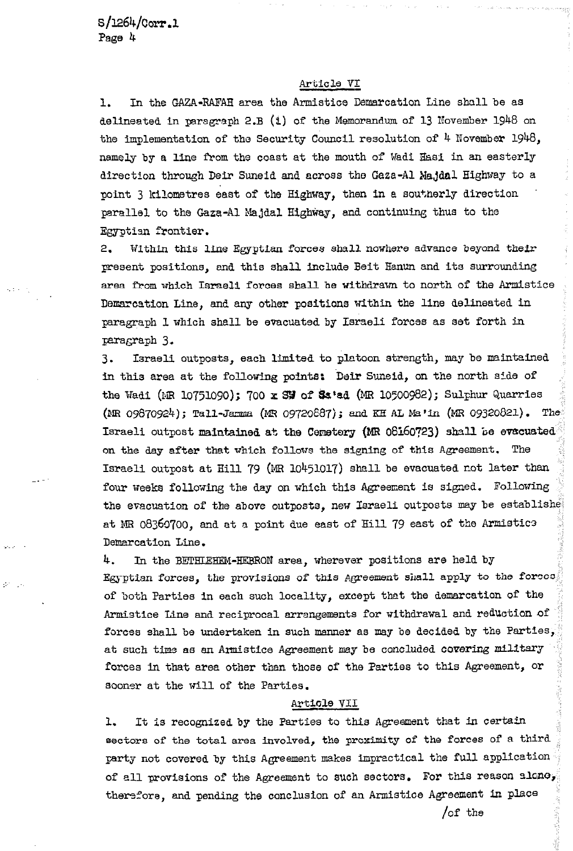### Article VI

1. In the GAZA-RAFAB area the Armistice Demarcation Line shall be as delineated in paragraph 2.B (i) of the Memorandum of 13 November 1948 on the implementation of the Security Council resolution of 4 November 1948, namely by a line from the coast at the mouth of Wadi Qhsi in an easterly direction through Deir Suneid and across the Gaza-Al Majdal Highway to a point 3 kilometres east of the Highway, then in a southerly direction parallel to the Gaza-Al Majdal Highway, and continuing thus to the Egyptian frontier.

2. Within this line Egyptian forces shall nowhere advance beyond their present positions, and this shall include Beit Hanun and its surrounding area from which Israeli forces shall be withdrawn to north of the Armistice Demarcation Line, and any other positions within the line delineated in paragraph 1 which shall be evacuated by Israeli forces as set forth in paragraph 3.

3. Israeli outposts, each limited to platoon strength, may be maintained in this area at the following points: Dair Suneid, on the north side of the Wadi ( $MR$  10751090); 700 x SW of Sa'ad (MR 10500982); Sulphur Quarries (MR 09870924); Tall-Jamma (MR 09720887); and KH AL Ma'in (MR 09320821). The Israeli outpost maintained at the Cemetery (MR 08160723) shall be evacuated on the day after that which follows the signing of this Agreement. The Israeli outpost at Hill 79 (MB 10451017) shall be evacuated not later than four weeks following the day on which this Agreement is signed. Following the evacuation of the above outposts, new Israeli outposts may be establishe at  $MR$  08360700, and at a point due east of Hill 79 east of the Armistic $\alpha$ Demarcation Line.

4. In the BETHIEHEM-HEBRON area, wherever positions are held by Egyptian forces, the provisions of this Agreement shall apply to the forces of both Parties in each such locality, except that the demarcation of the Armistice Line and reciprocal arrangements for withdrawal and reduction of forces shall be undertaken in such manner as may be decided by the Parties, at such time as an Armistice Agreement may be concluded covering military forces in that area other than those of the Parties to this Agreement, or sooner at the Will of the Parties.

#### Art**icle** VII

1. It is recognized by the Parties to this Agreement that in certain sectors of the total area involved, the prcximity of the forces of a third prty not covered by this Agreement makes impractical the full application of all provisions of the Agreement to such sectors. For this reason alone, therefore, and pending the conclusion of an Armistice Agreement in place

/of the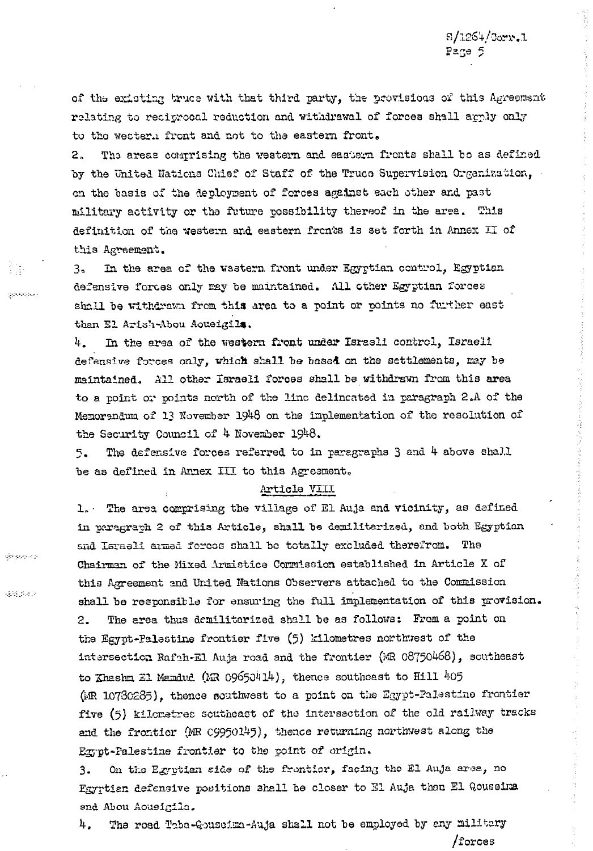of the existing trues with that third party, the provisions of this Agreement relating to reciprocal reduction and withdrawal of forces shall apply only to the western front and not to the eastern front.

The areas comprising the western and eastern fronts shall be as defined  $2.5$ by the United Nations Chief of Staff of the Truce Supervision Organization. on the basis of the deployment of forces against each other and past military activity or the future cossibility thereof in the area. This definition of the western and eastern from's is set forth in Annex II of this Agreement.

In the area of the wastern front under Egyptian control, Egyptian 3. defensive forces only may be maintained. All other Egyptian forces shall be withdrawn from this area to a point or points no further east than El Arish-Abou Aoueigils.

In the area of the western front under Israeli control, Israeli 4. defensive forces only, which shall be based on the settlements, may be maintained. All other Israeli forces shall be withdrawn from this area to a point or points north of the line delincated in paragraph 2.A of the Memorandum of 13 November 1948 on the implementation of the resolution of the Security Council of 4 November 1948.

The defensive forces referred to in paragraphs 3 and 4 above shall 5. be as defined in Annex III to this Agreement.

### Article VIII

1. The area comprising the village of El Auja and vicinity, as defined in paragraph 2 of this Article, shall be demiliterized, and both Egyptian and Israeli armed forces shall be totally excluded therefrom. The Chairman of the Mixed Armistice Commission established in Article X of this Agreement and United Nations Observers attached to the Commission shall be responsible for ensuring the full implementation of this provision. The area thus demilitarized shall be as follows: From a point on  $2.$ the Egypt-Palestine frontier five (5) kilometres northwest of the intersection Rafah-El Auja road and the frontier (MR 08750468), southeast to Khashm El Mamdud (MR 09650414), thence southeast to Hill 405 (iR 10730235), thence southwest to a point on the Egypt-Palestine frontier five (5) kilometres southeast of the intersection of the old railway tracks and the frontier (MR C9950145), thence returning northwest along the Expot-Palestine frontier to the point of origin.

On the Egyptian side of the frontior, facing the El Auja area, no  $3.$ Egyptian defensive positions shall be closer to El Auja than El Qouseima and Abou Aousinila.

4. The road Thom-Qouseima-Auja shall not be employed by any military

/forces

gawago s

ł.

office proposed

 $5.36 (3.81)$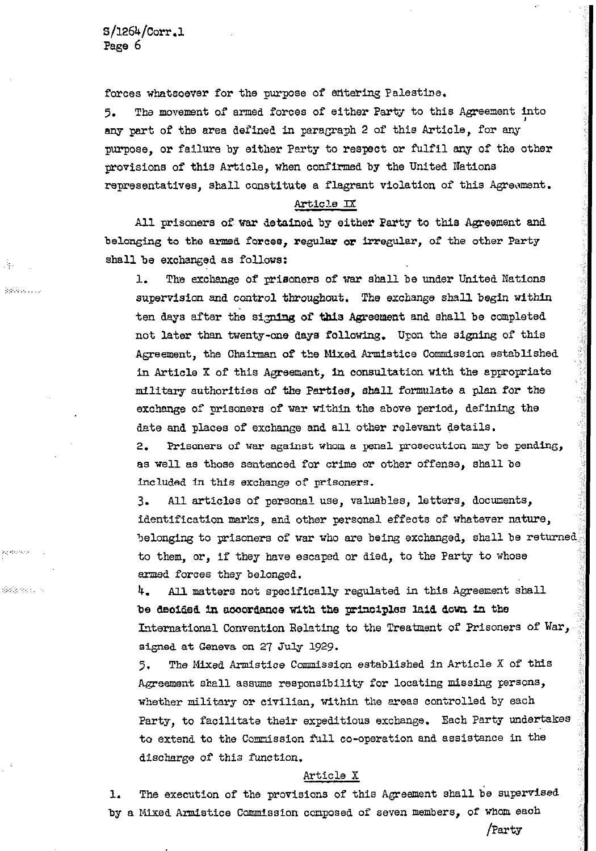forces whatsoever for the purpose of entering Palestine.

The movement of armed forces of either Party to this Agreement into 5. any part of the area defined in paragraph 2 of this Article, for any purpose, or failure by either Party to respect or fulfil any of the other provisions of this Article, when confirmed by the United Nations representatives, shall constitute a flagrant violation of this Agreement.

#### Article IX

All prisoners of war detained by either Party to this Agreement and belonging to the armed forces. regular or irregular, of the other Party shall be exchanged as follows:

The exchange of prisoners of war shall be under United Nations ı. supervision and control throughout. The exchange shall begin within ten days after the signing of this Agreement and shall be completed not later than twenty-one days following. Upon the signing of this Agreement, the Chairman of the Mixed Armistice Commission established in Article X of this Agreement, in consultation with the appropriate military authorities of the Parties, shall formulate a plan for the exchange of prisoners of war within the above period, defining the date and places of exchange and all other relevant details.

Prisoners of war against whom a penal prosecution may be pending, 2. as well as those sentenced for crime or other offense, shall be included in this exchange of prisoners.

All articles of personal use, valuables, letters, documents, 3. identification marks, and other personal effects of whatever nature, belonging to prisoners of war who are being exchanged, shall be returned to them, or, if they have escaped or died, to the Party to whose armed forces they belonged.

All matters not specifically regulated in this Agreement shall 4. be decided in accordance with the urinciples laid down in the International Convention Relating to the Treatment of Prisoners of War, signed at Geneva on 27 July 1929.

The Mixed Armistice Commission established in Article X of this 5. Agreement shall assume responsibility for locating missing persons, whether military or civilian, within the areas controlled by each Party, to facilitate their expeditious exchange. Each Party undertakes to extend to the Commission full co-operation and assistance in the discharge of this function.

/Party

#### Article X

The execution of the provisions of this Agreement shall be supervised ı. by a Mixed Armistice Commission composed of seven members, of whom each

Replacement

나는 사

وأروس والمراوي وأوالج

SSK Same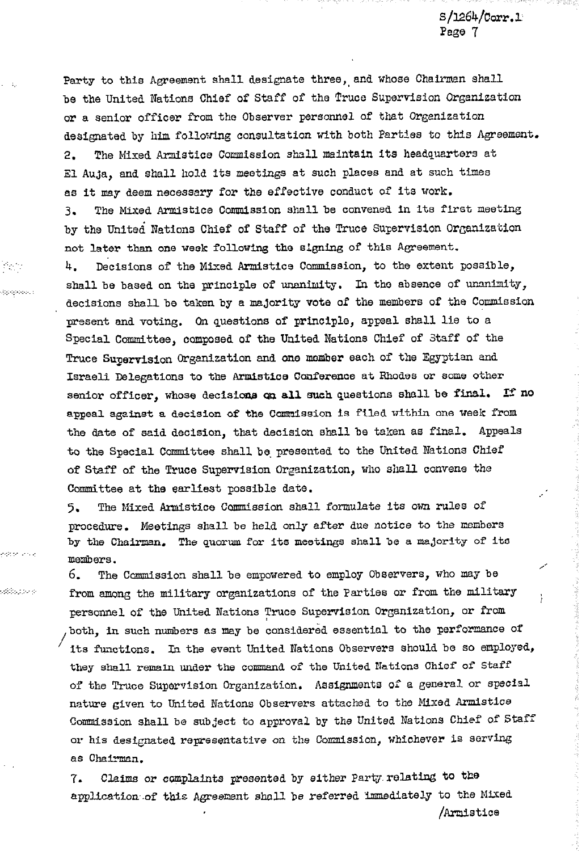Party to this Agreement shall designate three, and whose Chairman shall be the United Nations Chief of Staff of the Truce Supervision Organization or a senior officer from the Observer personnel of that Organization designated by him following consultation with both Parties to this Agreement. The Mixed Armistice Commission shall maintain its headquarters at  $2.$ El Auja, and shall hold its meetings at such places and at such times as it may deem necessary for the effective conduct of its work. The Mixed Armistice Commission shall be convened in its first meeting  $3.$ by the United Nations Chief of Staff of the Truce Supervision Organization not later than one week following the signing of this Agreement.

Decisions of the Mixed Armistice Commission, to the extent possible, 4. shall be based on the principle of unanimity. In the absence of unanimity, decisions shall be taken by a majority vote of the members of the Commission present and voting. On questions of principle, appeal shall lie to a Special Committee, composed of the United Nations Chief of Staff of the Truce Supervision Organization and one member each of the Egyptian and Israeli Delegations to the Armistice Conference at Rhodes or some other senior officer, whose decisions on all such questions shall be final. If no appeal against a decision of the Commission is filed within one week from the date of said decision, that decision shall be taken as final. Appeals to the Special Committee shall be presented to the United Nations Chief of Staff of the Truce Supervision Organization, who shall convene the Committee at the earliest possible date.

The Mixed Armistice Commission shall formulate its own rules of 5. procedure. Meetings shall be held only after due notice to the members by the Chairman. The quorum for its meetings shall be a majority of its members.

The Commission shall be empowered to employ Observers, who may be 6. from among the military organizations of the Parties or from the military personnel of the United Nations Truce Supervision Organization, or from both, in such numbers as may be considered essential to the performance of its functions. In the event United Nations Observers should be so employed, they shall remain under the command of the United Nations Chief of Staff of the Truce Supervision Organization. Assignments of a general or special nature given to United Nations Observers attached to the Mixed Armistice Commission shall be subject to approval by the United Nations Chief of Staff or his designated representative on the Commission, whichever is serving as Chairman.

Claims or complaints presented by either Party relating to the  $7.$ application of this Agreement shall be referred immediately to the Mixed Armistice

الله ملازي وفقها

.<br>Adalah seora

 $\sigma_{\rm{max}}$ 

.<br>Startetronomia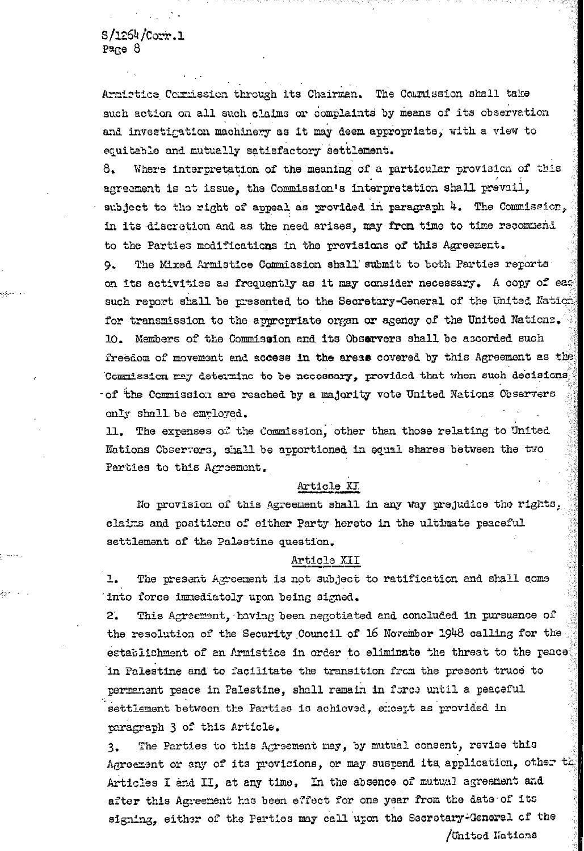## $S/1264/0027.1$  $P<sub>area</sub> 8$

Armictice Commission through its Chairman. The Commission shall take such action on all such claims or complaints by means of its observation and investigation machinery as it may deem appropriate, with a view to equitable and mutually satisfactory settlement.

Where interpretation of the meaning of a particular provision of this 8. agreement is at issue, the Commission's interpretation shall prevail, subject to the right of appeal as provided in paragraph 4. The Commission, in its discretion and as the need arises, may from time to time recommeni to the Parties modifications in the provisions of this Agreement.

The Mixed Armistice Commission shall submit to both Parties reports  $Q_{\mu}$ on its activities as frequently as it may consider necessary. A copy of easi such report shall be presented to the Secretary-General of the United Nation for transmission to the appropriate organ or agency of the United Nations. 10. Members of the Commission and its Observers shall be accorded such freedom of movement and access in the areas covered by this Agreement as the Commission may determine to be necessary, provided that when such decisions of the Commission are reached by a majority vote United Nations Observers only shall be employed.

11. The expenses of the Commission, other than those relating to United Nations Cbservers, shall be apportioned in equal shares between the two Parties to this Acreement.

## Article XI

No provision of this Agreement shall in any way prejudice the rights. claims and positions of either Party hereto in the ultimate peaceful settlement of the Palestine question.

#### Article XII

ı. The present Agreement is not subject to ratification and shall come 'into force immediately upon being signed.

 $2.$ This Agreement, having been negotiated and concluded in pursuance of the resolution of the Security Council of 16 November 1948 calling for the establishment of an Armistice in order to eliminate the threat to the reace in Palestine and to facilitate the transition from the present truce to permannt reace in Palestine, shall ramain in force until a peaceful settlement between the Fartiss is achieved, except as provided in taragraph 3 of this Article.

The Parties to this Agreement may, by mutual consent, revise this  $3.$ Agreement or any of its provisions, or may suspend its application, other the Articles I and II, at any time. In the absence of mutual agreement and after this Agreement has been effect for one year from the date of its signing, either of the Parties may call upon the Secretary-General of the /United Nations